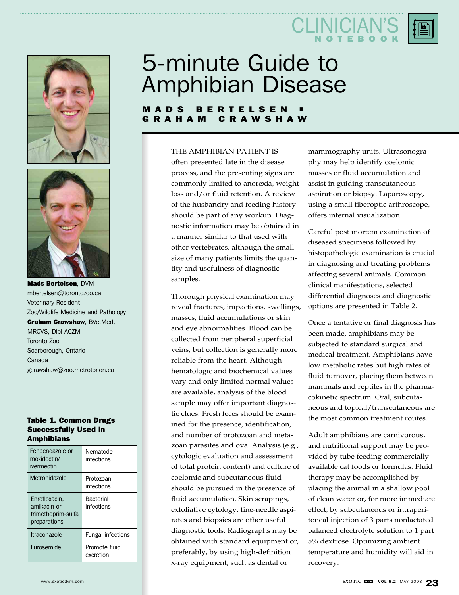



Mads Bertelsen, DVM mbertelsen@torontozoo.ca Veterinary Resident Zoo/Wildlife Medicine and Pathology Graham Crawshaw, BVetMed, MRCVS, Dipl ACZM Toronto Zoo Scarborough, Ontario Canada gcrawshaw@zoo.metrotor.on.ca

#### Table 1. Common Drugs Successfully Used in **Amphibians**

| Fenbendazole or<br>moxidectin/<br>ivermectin                       | Nematode<br>infections         |
|--------------------------------------------------------------------|--------------------------------|
| Metronidazole                                                      | Protozoan<br>infections        |
| Enrofloxacin,<br>amikacin or<br>trimethoprim-sulfa<br>preparations | <b>Bacterial</b><br>infections |
| Itraconazole                                                       | <b>Fungal infections</b>       |
| Furosemide                                                         | Promote fluid<br>excretion     |

# 5-minute Guide to Amphibian Disease

### MADS BERTELSEN<br>GRAHAM CRAWSH **CRAWSHAW**

#### THE AMPHIBIAN PATIENT IS

often presented late in the disease process, and the presenting signs are commonly limited to anorexia, weight loss and/or fluid retention. A review of the husbandry and feeding history should be part of any workup. Diagnostic information may be obtained in a manner similar to that used with other vertebrates, although the small size of many patients limits the quantity and usefulness of diagnostic samples.

Thorough physical examination may reveal fractures, impactions, swellings, masses, fluid accumulations or skin and eye abnormalities. Blood can be collected from peripheral superficial veins, but collection is generally more reliable from the heart. Although hematologic and biochemical values vary and only limited normal values are available, analysis of the blood sample may offer important diagnostic clues. Fresh feces should be examined for the presence, identification, and number of protozoan and metazoan parasites and ova. Analysis (e.g., cytologic evaluation and assessment of total protein content) and culture of coelomic and subcutaneous fluid should be pursued in the presence of fluid accumulation. Skin scrapings, exfoliative cytology, fine-needle aspirates and biopsies are other useful diagnostic tools. Radiographs may be obtained with standard equipment or, preferably, by using high-definition x-ray equipment, such as dental or

mammography units. Ultrasonography may help identify coelomic masses or fluid accumulation and assist in guiding transcutaneous aspiration or biopsy. Laparoscopy, using a small fiberoptic arthroscope, offers internal visualization.

CLINICIA

NOTEBOOK

Careful post mortem examination of diseased specimens followed by histopathologic examination is crucial in diagnosing and treating problems affecting several animals. Common clinical manifestations, selected differential diagnoses and diagnostic options are presented in Table 2.

Once a tentative or final diagnosis has been made, amphibians may be subjected to standard surgical and medical treatment. Amphibians have low metabolic rates but high rates of fluid turnover, placing them between mammals and reptiles in the pharmacokinetic spectrum. Oral, subcutaneous and topical/transcutaneous are the most common treatment routes.

Adult amphibians are carnivorous, and nutritional support may be provided by tube feeding commercially available cat foods or formulas. Fluid therapy may be accomplished by placing the animal in a shallow pool of clean water or, for more immediate effect, by subcutaneous or intraperitoneal injection of 3 parts nonlactated balanced electrolyte solution to 1 part 5% dextrose. Optimizing ambient temperature and humidity will aid in recovery.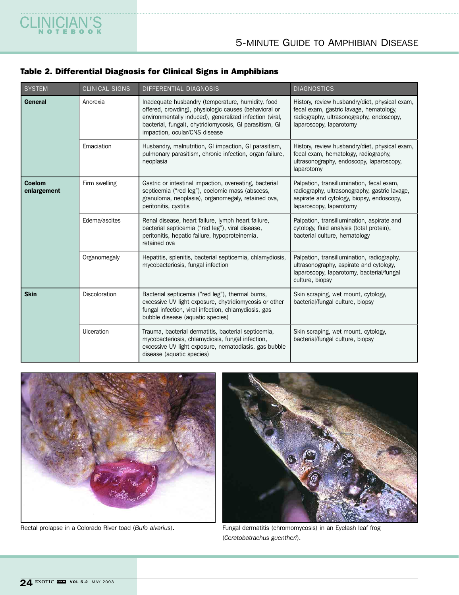## Table 2. Differential Diagnosis for Clinical Signs in Amphibians

CLINICIAN'S

| <b>SYSTEM</b>                | <b>CLINICAL SIGNS</b> | DIFFERENTIAL DIAGNOSIS                                                                                                                                                                                                                                            | <b>DIAGNOSTICS</b>                                                                                                                                                 |
|------------------------------|-----------------------|-------------------------------------------------------------------------------------------------------------------------------------------------------------------------------------------------------------------------------------------------------------------|--------------------------------------------------------------------------------------------------------------------------------------------------------------------|
| General                      | Anorexia              | Inadequate husbandry (temperature, humidity, food<br>offered, crowding), physiologic causes (behavioral or<br>environmentally induced), generalized infection (viral,<br>bacterial, fungal), chytridiomycosis, GI parasitism, GI<br>impaction, ocular/CNS disease | History, review husbandry/diet, physical exam,<br>fecal exam, gastric lavage, hematology,<br>radiography, ultrasonography, endoscopy,<br>laparoscopy, laparotomy   |
|                              | Emaciation            | Husbandry, malnutrition, GI impaction, GI parasitism,<br>pulmonary parasitism, chronic infection, organ failure,<br>neoplasia                                                                                                                                     | History, review husbandry/diet, physical exam,<br>fecal exam, hematology, radiography,<br>ultrasonography, endoscopy, laparoscopy,<br>laparotomy                   |
| <b>Coelom</b><br>enlargement | Firm swelling         | Gastric or intestinal impaction, overeating, bacterial<br>septicemia ("red leg"), coelomic mass (abscess,<br>granuloma, neoplasia), organomegaly, retained ova,<br>peritonitis, cystitis                                                                          | Palpation, transillumination, fecal exam,<br>radiography, ultrasonography, gastric lavage,<br>aspirate and cytology, biopsy, endoscopy,<br>laparoscopy, laparotomy |
|                              | Edema/ascites         | Renal disease, heart failure, lymph heart failure,<br>bacterial septicemia ("red leg"), viral disease,<br>peritonitis, hepatic failure, hypoproteinemia,<br>retained ova                                                                                          | Palpation, transillumination, aspirate and<br>cytology, fluid analysis (total protein),<br>bacterial culture, hematology                                           |
|                              | Organomegaly          | Hepatitis, splenitis, bacterial septicemia, chlamydiosis,<br>mycobacteriosis, fungal infection                                                                                                                                                                    | Palpation, transillumination, radiography,<br>ultrasonography, aspirate and cytology,<br>laparoscopy, laparotomy, bacterial/fungal<br>culture, biopsy              |
| <b>Skin</b>                  | Discoloration         | Bacterial septicemia ("red leg"), thermal burns,<br>excessive UV light exposure, chytridiomycosis or other<br>fungal infection, viral infection, chlamydiosis, gas<br>bubble disease (aquatic species)                                                            | Skin scraping, wet mount, cytology,<br>bacterial/fungal culture, biopsy                                                                                            |
|                              | Ulceration            | Trauma, bacterial dermatitis, bacterial septicemia,<br>mycobacteriosis, chlamydiosis, fungal infection,<br>excessive UV light exposure, nematodiasis, gas bubble<br>disease (aquatic species)                                                                     | Skin scraping, wet mount, cytology,<br>bacterial/fungal culture, biopsy                                                                                            |





Rectal prolapse in a Colorado River toad (*Bufo alvarius*). Fungal dermatitis (chromomycosis) in an Eyelash leaf frog (*Ceratobatrachus guentheri*).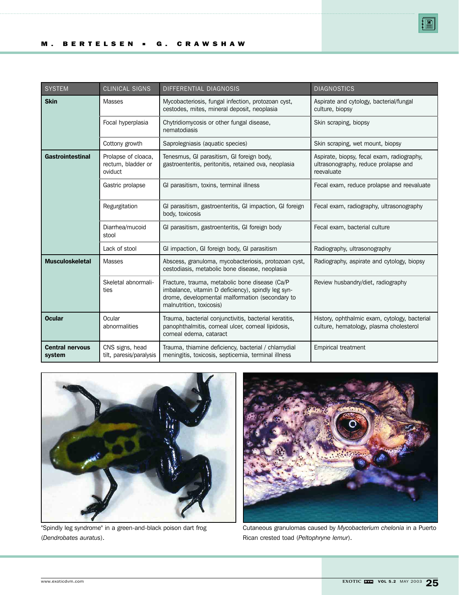| <b>SYSTEM</b>                    | <b>CLINICAL SIGNS</b>                                | DIFFERENTIAL DIAGNOSIS                                                                                                                                                              | <b>DIAGNOSTICS</b>                                                                               |
|----------------------------------|------------------------------------------------------|-------------------------------------------------------------------------------------------------------------------------------------------------------------------------------------|--------------------------------------------------------------------------------------------------|
| <b>Skin</b>                      | <b>Masses</b>                                        | Mycobacteriosis, fungal infection, protozoan cyst,<br>cestodes, mites, mineral deposit, neoplasia                                                                                   | Aspirate and cytology, bacterial/fungal<br>culture, biopsy                                       |
|                                  | Focal hyperplasia                                    | Chytridiomycosis or other fungal disease,<br>nematodiasis                                                                                                                           | Skin scraping, biopsy                                                                            |
|                                  | Cottony growth                                       | Saprolegniasis (aquatic species)                                                                                                                                                    | Skin scraping, wet mount, biopsy                                                                 |
| <b>Gastrointestinal</b>          | Prolapse of cloaca,<br>rectum, bladder or<br>oviduct | Tenesmus, GI parasitism, GI foreign body,<br>gastroenteritis, peritonitis, retained ova, neoplasia                                                                                  | Aspirate, biopsy, fecal exam, radiography,<br>ultrasonography, reduce prolapse and<br>reevaluate |
|                                  | Gastric prolapse                                     | GI parasitism, toxins, terminal illness                                                                                                                                             | Fecal exam, reduce prolapse and reevaluate                                                       |
|                                  | Regurgitation                                        | GI parasitism, gastroenteritis, GI impaction, GI foreign<br>body, toxicosis                                                                                                         | Fecal exam, radiography, ultrasonography                                                         |
|                                  | Diarrhea/mucoid<br>stool                             | GI parasitism, gastroenteritis, GI foreign body                                                                                                                                     | Fecal exam, bacterial culture                                                                    |
|                                  | Lack of stool                                        | GI impaction, GI foreign body, GI parasitism                                                                                                                                        | Radiography, ultrasonography                                                                     |
| <b>Musculoskeletal</b>           | <b>Masses</b>                                        | Abscess, granuloma, mycobacteriosis, protozoan cyst,<br>cestodiasis, metabolic bone disease, neoplasia                                                                              | Radiography, aspirate and cytology, biopsy                                                       |
|                                  | Skeletal abnormali-<br>ties                          | Fracture, trauma, metabolic bone disease (Ca/P<br>imbalance, vitamin D deficiency), spindly leg syn-<br>drome, developmental malformation (secondary to<br>malnutrition, toxicosis) | Review husbandry/diet, radiography                                                               |
| <b>Ocular</b>                    | Ocular<br>abnormalities                              | Trauma, bacterial conjunctivitis, bacterial keratitis,<br>panophthalmitis, corneal ulcer, corneal lipidosis,<br>corneal edema, cataract                                             | History, ophthalmic exam, cytology, bacterial<br>culture, hematology, plasma cholesterol         |
| <b>Central nervous</b><br>system | CNS signs, head<br>tilt, paresis/paralysis           | Trauma, thiamine deficiency, bacterial / chlamydial<br>meningitis, toxicosis, septicemia, terminal illness                                                                          | <b>Empirical treatment</b>                                                                       |



"Spindly leg syndrome" in a green-and-black poison dart frog (*Dendrobates auratus*).



Cutaneous granulomas caused by *Mycobacterium chelonia* in a Puerto Rican crested toad (*Peltophryne lemur*).